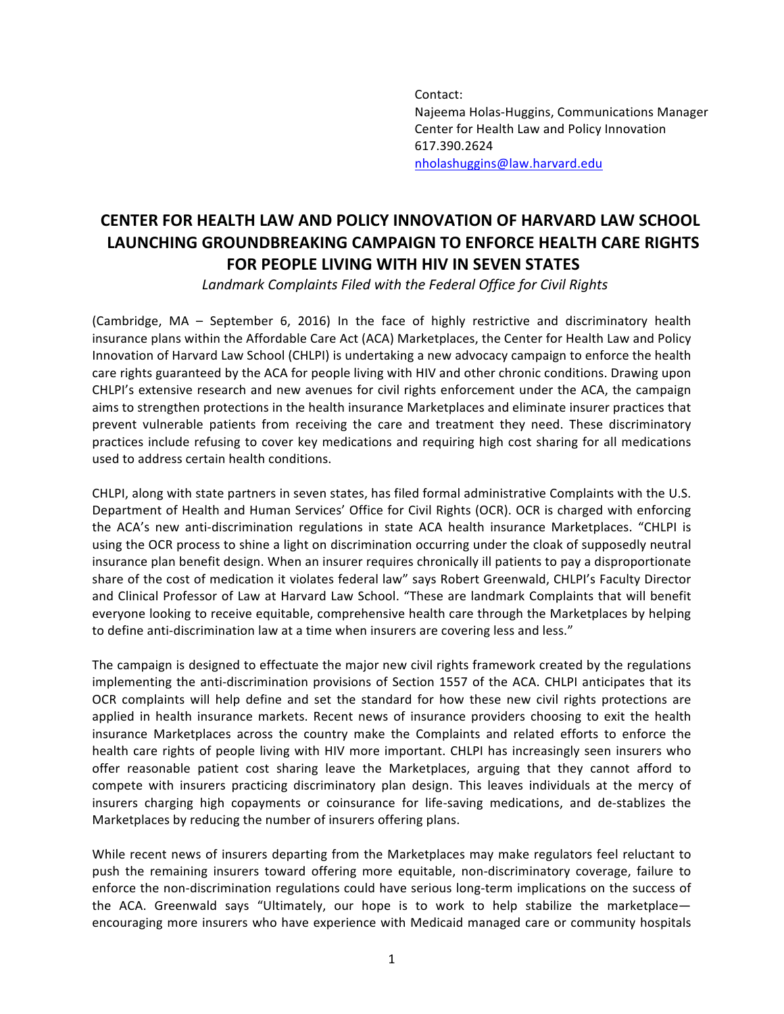Contact: Najeema Holas-Huggins, Communications Manager Center for Health Law and Policy Innovation 617.390.2624 nholashuggins@law.harvard.edu

## **CENTER FOR HEALTH LAW AND POLICY INNOVATION OF HARVARD LAW SCHOOL LAUNCHING GROUNDBREAKING CAMPAIGN TO ENFORCE HEALTH CARE RIGHTS FOR PEOPLE LIVING WITH HIV IN SEVEN STATES**

Landmark Complaints Filed with the Federal Office for Civil Rights

(Cambridge, MA – September 6, 2016) In the face of highly restrictive and discriminatory health insurance plans within the Affordable Care Act (ACA) Marketplaces, the Center for Health Law and Policy Innovation of Harvard Law School (CHLPI) is undertaking a new advocacy campaign to enforce the health care rights guaranteed by the ACA for people living with HIV and other chronic conditions. Drawing upon CHLPI's extensive research and new avenues for civil rights enforcement under the ACA, the campaign aims to strengthen protections in the health insurance Marketplaces and eliminate insurer practices that prevent vulnerable patients from receiving the care and treatment they need. These discriminatory practices include refusing to cover key medications and requiring high cost sharing for all medications used to address certain health conditions.

CHLPI, along with state partners in seven states, has filed formal administrative Complaints with the U.S. Department of Health and Human Services' Office for Civil Rights (OCR). OCR is charged with enforcing the ACA's new anti-discrimination regulations in state ACA health insurance Marketplaces. "CHLPI is using the OCR process to shine a light on discrimination occurring under the cloak of supposedly neutral insurance plan benefit design. When an insurer requires chronically ill patients to pay a disproportionate share of the cost of medication it violates federal law" says Robert Greenwald, CHLPI's Faculty Director and Clinical Professor of Law at Harvard Law School. "These are landmark Complaints that will benefit everyone looking to receive equitable, comprehensive health care through the Marketplaces by helping to define anti-discrimination law at a time when insurers are covering less and less."

The campaign is designed to effectuate the major new civil rights framework created by the regulations implementing the anti-discrimination provisions of Section 1557 of the ACA. CHLPI anticipates that its OCR complaints will help define and set the standard for how these new civil rights protections are applied in health insurance markets. Recent news of insurance providers choosing to exit the health insurance Marketplaces across the country make the Complaints and related efforts to enforce the health care rights of people living with HIV more important. CHLPI has increasingly seen insurers who offer reasonable patient cost sharing leave the Marketplaces, arguing that they cannot afford to compete with insurers practicing discriminatory plan design. This leaves individuals at the mercy of insurers charging high copayments or coinsurance for life-saving medications, and de-stablizes the Marketplaces by reducing the number of insurers offering plans.

While recent news of insurers departing from the Marketplaces may make regulators feel reluctant to push the remaining insurers toward offering more equitable, non-discriminatory coverage, failure to enforce the non-discrimination regulations could have serious long-term implications on the success of the ACA. Greenwald says "Ultimately, our hope is to work to help stabilize the marketplace encouraging more insurers who have experience with Medicaid managed care or community hospitals